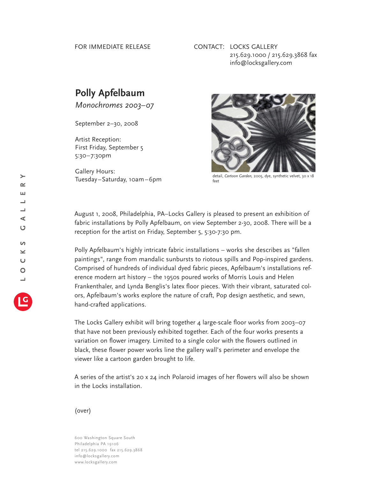## FOR IMMEDIATE RELEASE

## CONTACT: LOCKS GALLERY 215.629.1000 / 215.629.3868 fax info@locksgallery.com

## **Polly Apfelbaum**

*Monochromes 2003–07*

September 2–30, 2008

Artist Reception: First Friday, September 5 5:30–7:30pm

Gallery Hours: Tuesday–Saturday, 10am–6pm



detail, *Cartoon Garden,* 2005, dye, synthetic velvet, 30 x 18 feet

August 1, 2008, Philadelphia, PA–Locks Gallery is pleased to present an exhibition of fabric installations by Polly Apfelbaum, on view September 2-30, 2008. There will be a reception for the artist on Friday, September 5, 5:30-7:30 pm.

Polly Apfelbaum's highly intricate fabric installations – works she describes as "fallen paintings", range from mandalic sunbursts to riotous spills and Pop-inspired gardens. Comprised of hundreds of individual dyed fabric pieces, Apfelbaum's installations reference modern art history – the 1950s poured works of Morris Louis and Helen Frankenthaler, and Lynda Benglis's latex floor pieces. With their vibrant, saturated colors, Apfelbaum's works explore the nature of craft, Pop design aesthetic, and sewn, hand-crafted applications.

The Locks Gallery exhibit will bring together  $4$  large-scale floor works from 2003–07 that have not been previously exhibited together. Each of the four works presents a variation on flower imagery. Limited to a single color with the flowers outlined in black, these flower power works line the gallery wall's perimeter and envelope the viewer like a cartoon garden brought to life.

A series of the artist's 20 x 24 inch Polaroid images of her flowers will also be shown in the Locks installation.

(over)

600 Washington Square South Philadelphia PA 19106 tel 215.629.1000 fax 215.629.3868 info@locksgallery.com www.locksgallery.com